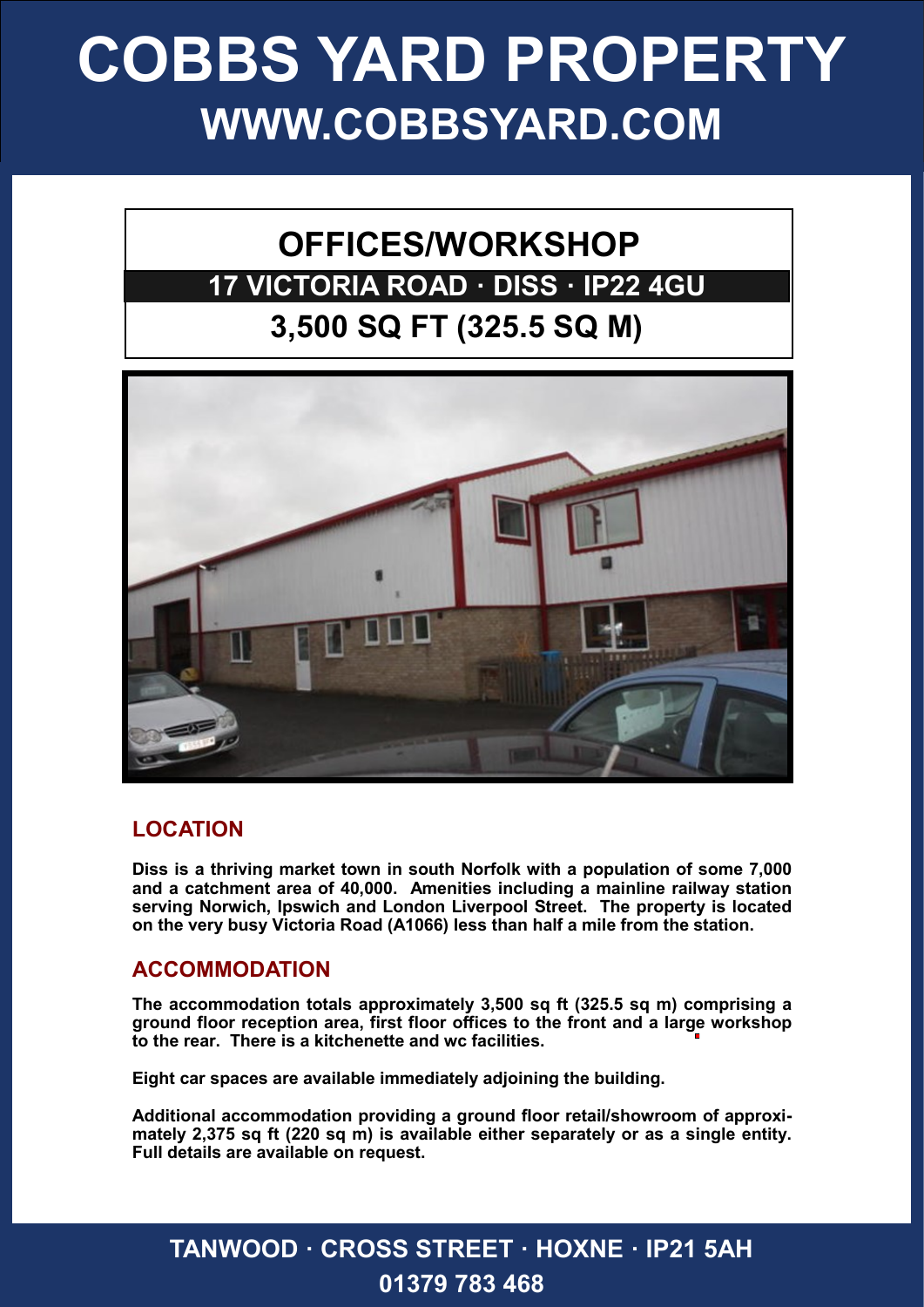# **COBBS YARD PROPERTY WWW.COBBSYARD.COM**

## **OFFICES/WORKSHOP 17 VICTORIA ROAD · DISS · IP22 4GU 3,500 SQ FT (325.5 SQ M)**



#### **LOCATION**

**Diss is a thriving market town in south Norfolk with a population of some 7,000 and a catchment area of 40,000. Amenities including a mainline railway station serving Norwich, Ipswich and London Liverpool Street. The property is located on the very busy Victoria Road (A1066) less than half a mile from the station.**

#### **ACCOMMODATION**

**The accommodation totals approximately 3,500 sq ft (325.5 sq m) comprising a ground floor reception area, first floor offices to the front and a large workshop to the rear. There is a kitchenette and wc facilities.**

**Eight car spaces are available immediately adjoining the building.**

**Additional accommodation providing a ground floor retail/showroom of approximately 2,375 sq ft (220 sq m) is available either separately or as a single entity. Full details are available on request.** 

### **TANWOOD · CROSS STREET · HOXNE · IP21 5AH01379 783 468**